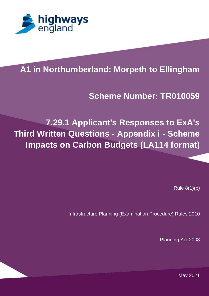

# **A1 in Northumberland: Morpeth to Ellingham**

#### **PROJECT TITLE Scheme Number: TR010059**

**7.29.1 Applicant's Responses to ExA's Third Written Questions - Appendix i - Scheme Impacts on Carbon Budgets (LA114 format)** 

Rule 8(1)(b)

Infrastructure Planning (Examination Procedure) Rules 2010

Planning Act 2008

JUMPS OVER THE LAZY DOG. THE QUICK BROWN FOX JUMPS OVER THE LAZY DOG. THE  $\mathbb{R}^n$  and the lazy  $\mathbb{R}^n$  doctor  $\mathbb{R}^n$  doctor  $\mathbb{R}^n$  doctor  $\mathbb{R}^n$  doctor  $\mathbb{R}^n$  doctor  $\mathbb{R}^n$ May 2021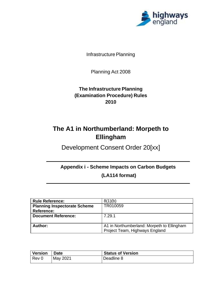

Infrastructure Planning

Planning Act 2008

#### **The Infrastructure Planning (Examination Procedure) Rules 2010**

## **The A1 in Northumberland: Morpeth to Ellingham**

Development Consent Order 20[xx]

#### **Appendix i - Scheme Impacts on Carbon Budgets**

**(LA114 format)**

| <b>Rule Reference:</b>              | 8(1)(b)                                    |  |  |
|-------------------------------------|--------------------------------------------|--|--|
| <b>Planning Inspectorate Scheme</b> | TR010059                                   |  |  |
| Reference:                          |                                            |  |  |
| <b>Document Reference:</b>          | 7.29.1                                     |  |  |
|                                     |                                            |  |  |
| Author:                             | A1 in Northumberland: Morpeth to Ellingham |  |  |
|                                     | Project Team, Highways England             |  |  |

| <b>Version</b> | ∣ Date   | <b>Status of Version</b> |
|----------------|----------|--------------------------|
| l Rev 0        | May 2021 | Deadline 8               |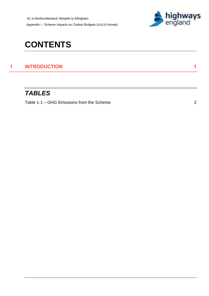A1 in Northumberland: Morpeth to Ellingham Appendix i - Scheme Impacts on Carbon Budgets (LA114 format)



# **CONTENTS**

#### **1 [INTRODUCTION](#page-3-0) 1**

### *TABLES*

Table 1-1 – [GHG Emissions from the Scheme](#page-4-0) 2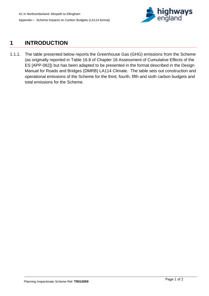

### <span id="page-3-0"></span>**1 INTRODUCTION**

1.1.1. The table presented below reports the Greenhouse Gas (GHG) emissions from the Scheme (as originally reported in Table 16.8 of Chapter 16 Assessment of Cumulative Effects of the ES [APP-062]) but has been adapted to be presented in the format described in the Design Manual for Roads and Bridges (DMRB) LA114 Climate. The table sets out construction and operational emissions of the Scheme for the third, fourth, fifth and sixth carbon budgets and total emissions for the Scheme.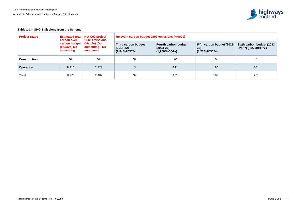<span id="page-4-0"></span>**Table 1-1 – GHG Emissions from the Scheme**

| <b>Project Stage</b> | <b>Estimated total</b><br>carbon over<br>carbon budget<br>(ktCO2e) Do<br>something | Net C02 project<br><b>GHG emissions</b><br>(ktco2e) (Do<br>something - Do<br>minimum) | <b>Relevant carbon budget GHG emissions (ktco2e)</b> |                                                             |                                                    |                                                    |
|----------------------|------------------------------------------------------------------------------------|---------------------------------------------------------------------------------------|------------------------------------------------------|-------------------------------------------------------------|----------------------------------------------------|----------------------------------------------------|
|                      |                                                                                    |                                                                                       | Third carbon budget<br>$(2018-22)$<br>(2,544MtCO2e)  | <b>Fourth carbon budget</b><br>$(2023-27)$<br>(1,950MtCO2e) | Fifth carbon budget (2028-<br>32)<br>(1,725MtCO2e) | Sixth carbon budget (2033)<br>- 2037) (965 MtCO2e) |
| <b>Construction</b>  | 59                                                                                 | 59                                                                                    | 39                                                   | 20                                                          |                                                    |                                                    |
| <b>Operation</b>     | 8,915                                                                              | 2,427                                                                                 | $\overline{0}$                                       | 141                                                         | 185                                                | 201                                                |
| <b>Total</b>         | 8,975                                                                              | 2,487                                                                                 | 39                                                   | 161                                                         | 185                                                | 201                                                |